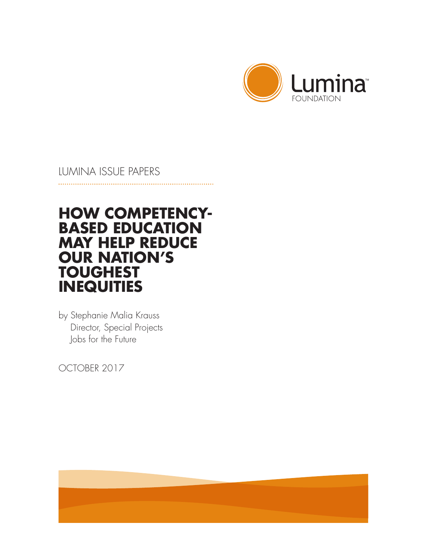

## LUMINA ISSUE PAPERS

# **HOW COMPETENCY-BASED EDUCATION MAY HELP REDUCE OUR NATION'S TOUGHEST INEQUITIES**

by Stephanie Malia Krauss Director, Special Projects Jobs for the Future

OCTOBER 2017

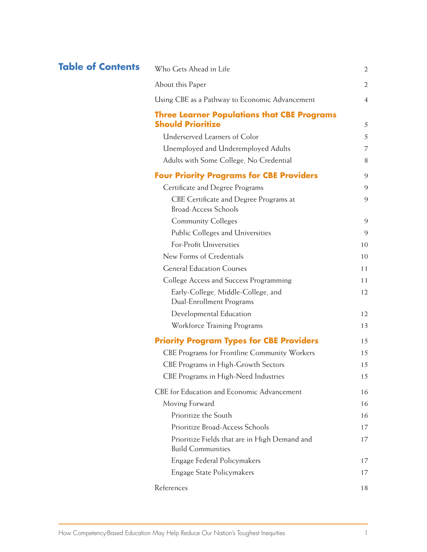## **Table of Contents** Who Gets Ahead

| Who Gets Ahead in Life                              | 2              |
|-----------------------------------------------------|----------------|
| About this Paper                                    | $\overline{2}$ |
| Using CBE as a Pathway to Economic Advancement      | $\overline{4}$ |
| <b>Three Learner Populations that CBE Programs</b>  |                |
| <b>Should Prioritize</b>                            | 5              |
| Underserved Learners of Color                       | 5              |
| Unemployed and Underemployed Adults                 | 7              |
| Adults with Some College, No Credential             | 8              |
| <b>Four Priority Programs for CBE Providers</b>     | 9              |
| Certificate and Degree Programs                     | 9              |
| CBE Certificate and Degree Programs at              | 9              |
| <b>Broad-Access Schools</b>                         |                |
| <b>Community Colleges</b>                           | 9              |
| Public Colleges and Universities                    | 9              |
| For-Profit Universities                             | 10             |
| New Forms of Credentials                            | 10             |
| <b>General Education Courses</b>                    | 11             |
| College Access and Success Programming              | 11             |
| Early-College, Middle-College, and                  | 12             |
| Dual-Enrollment Programs                            |                |
| Developmental Education                             | 12             |
| Workforce Training Programs                         | 13             |
| <b>Priority Program Types for CBE Providers</b>     | 15             |
| <b>CBE Programs for Frontline Community Workers</b> | 15             |
| CBE Programs in High-Growth Sectors                 | 15             |
| CBE Programs in High-Need Industries                | 15             |
| CBE for Education and Economic Advancement          | 16             |
| Moving Forward                                      | 16             |
| Prioritize the South                                | 16             |
| Prioritize Broad-Access Schools                     | 17             |
| Prioritize Fields that are in High Demand and       | 17             |
| <b>Build Communities</b>                            |                |
| Engage Federal Policymakers                         | 17             |
| Engage State Policymakers                           | 17             |
| References                                          | 18             |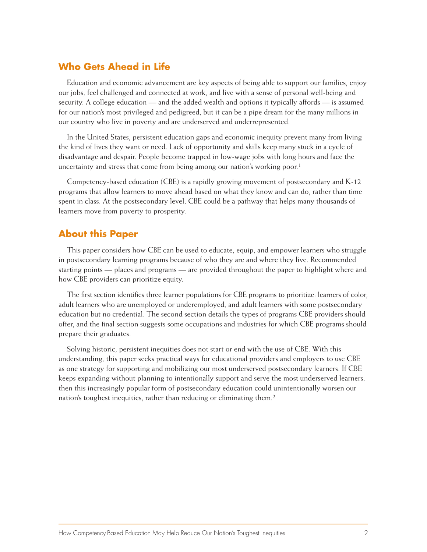## **Who Gets Ahead in Life**

Education and economic advancement are key aspects of being able to support our families, enjoy our jobs, feel challenged and connected at work, and live with a sense of personal well-being and security. A college education — and the added wealth and options it typically affords — is assumed for our nation's most privileged and pedigreed, but it can be a pipe dream for the many millions in our country who live in poverty and are underserved and underrepresented.

In the United States, persistent education gaps and economic inequity prevent many from living the kind of lives they want or need. Lack of opportunity and skills keep many stuck in a cycle of disadvantage and despair. People become trapped in low-wage jobs with long hours and face the uncertainty and stress that come from being among our nation's working poor.<sup>1</sup>

Competency-based education (CBE) is a rapidly growing movement of postsecondary and K-12 programs that allow learners to move ahead based on what they know and can do, rather than time spent in class. At the postsecondary level, CBE could be a pathway that helps many thousands of learners move from poverty to prosperity.

### **About this Paper**

This paper considers how CBE can be used to educate, equip, and empower learners who struggle in postsecondary learning programs because of who they are and where they live. Recommended starting points — places and programs — are provided throughout the paper to highlight where and how CBE providers can prioritize equity.

The first section identifies three learner populations for CBE programs to prioritize: learners of color, adult learners who are unemployed or underemployed, and adult learners with some postsecondary education but no credential. The second section details the types of programs CBE providers should offer, and the final section suggests some occupations and industries for which CBE programs should prepare their graduates.

Solving historic, persistent inequities does not start or end with the use of CBE. With this understanding, this paper seeks practical ways for educational providers and employers to use CBE as one strategy for supporting and mobilizing our most underserved postsecondary learners. If CBE keeps expanding without planning to intentionally support and serve the most underserved learners, then this increasingly popular form of postsecondary education could unintentionally worsen our nation's toughest inequities, rather than reducing or eliminating them.2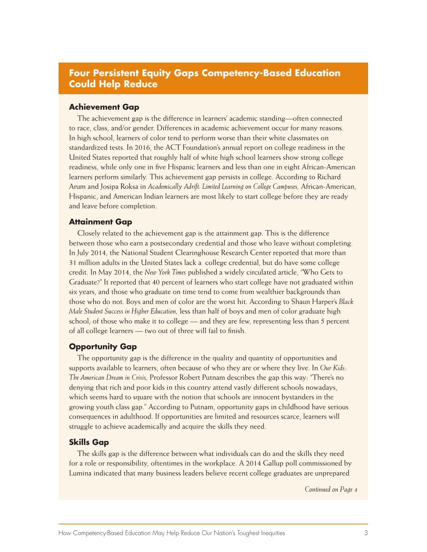## **Four Persistent Equity Gaps Competency-Based Education Could Help Reduce**

#### **Achievement Gap**

The achievement gap is the difference in learners' academic standing—often connected to race, class, and/or gender. Differences in academic achievement occur for many reasons. In high school, learners of color tend to perform worse than their white classmates on standardized tests. In 2016, the ACT Foundation's annual report on college readiness in the United States reported that roughly half of white high school learners show strong college readiness, while only one in five Hispanic learners and less than one in eight African-American learners perform similarly. This achievement gap persists in college. According to Richard Arum and Josipa Roksa in *Academically Adrift: Limited Learning on College Campuses,* African-American, Hispanic, and American Indian learners are most likely to start college before they are ready and leave before completion.

#### **Attainment Gap**

Closely related to the achievement gap is the attainment gap. This is the difference between those who earn a postsecondary credential and those who leave without completing. In July 2014, the National Student Clearinghouse Research Center reported that more than 31 million adults in the United States lack a college credential, but do have some college credit. In May 2014, the *New York Times* published a widely circulated article, "Who Gets to Graduate?" It reported that 40 percent of learners who start college have not graduated within six years, and those who graduate on time tend to come from wealthier backgrounds than those who do not. Boys and men of color are the worst hit. According to Shaun Harper's *Black Male Student Success in Higher Education,* less than half of boys and men of color graduate high school; of those who make it to college — and they are few, representing less than 5 percent of all college learners — two out of three will fail to finish.

#### **Opportunity Gap**

The opportunity gap is the difference in the quality and quantity of opportunities and supports available to learners, often because of who they are or where they live. In *Our Kids: The American Dream in Crisis,* Professor Robert Putnam describes the gap this way: "There's no denying that rich and poor kids in this country attend vastly different schools nowadays, which seems hard to square with the notion that schools are innocent bystanders in the growing youth class gap." According to Putnam, opportunity gaps in childhood have serious consequences in adulthood. If opportunities are limited and resources scarce, learners will struggle to achieve academically and acquire the skills they need.

#### **Skills Gap**

The skills gap is the difference between what individuals can do and the skills they need for a role or responsibility, oftentimes in the workplace. A 2014 Gallup poll commissioned by Lumina indicated that many business leaders believe recent college graduates are unprepared

*Continued on Page 4*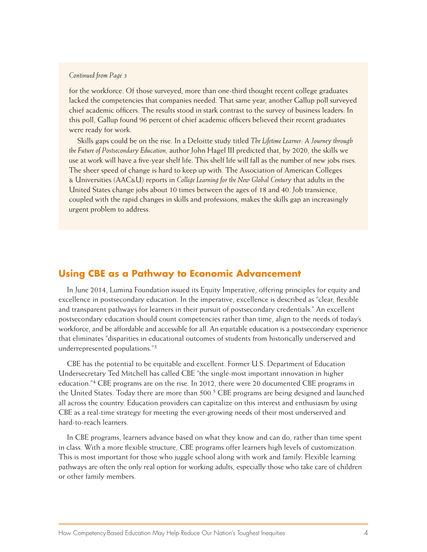#### *Continued from Page 3*

for the workforce. Of those surveyed, more than one-third thought recent college graduates lacked the competencies that companies needed. That same year, another Gallup poll surveyed chief academic officers. The results stood in stark contrast to the survey of business leaders: In this poll, Gallup found 96 percent of chief academic officers believed their recent graduates were ready for work.

Skills gaps could be on the rise. In a Deloitte study titled *The Lifetime Learner: A Journey through the Future of Postsecondary Education,* author John Hagel III predicted that, by 2020, the skills we use at work will have a five-year shelf life. This shelf life will fall as the number of new jobs rises. The sheer speed of change is hard to keep up with. The Association of American Colleges & Universities (AAC&U) reports in *College Learning for the New Global Century* that adults in the United States change jobs about 10 times between the ages of 18 and 40. Job transience, coupled with the rapid changes in skills and professions, makes the skills gap an increasingly urgent problem to address.

### **Using CBE as a Pathway to Economic Advancement**

In June 2014, Lumina Foundation issued its Equity Imperative, offering principles for equity and excellence in postsecondary education. In the imperative, excellence is described as "clear, flexible and transparent pathways for learners in their pursuit of postsecondary credentials." An excellent postsecondary education should count competencies rather than time, align to the needs of today's workforce, and be affordable and accessible for all. An equitable education is a postsecondary experience that eliminates "disparities in educational outcomes of students from historically underserved and underrepresented populations."3

CBE has the potential to be equitable and excellent. Former U.S. Department of Education Undersecretary Ted Mitchell has called CBE "the single-most important innovation in higher education."4 CBE programs are on the rise. In 2012, there were 20 documented CBE programs in the United States. Today there are more than 500.<sup>5</sup> CBE programs are being designed and launched all across the country. Education providers can capitalize on this interest and enthusiasm by using CBE as a real-time strategy for meeting the ever-growing needs of their most underserved and hard-to-reach learners.

In CBE programs, learners advance based on what they know and can do, rather than time spent in class. With a more flexible structure, CBE programs offer learners high levels of customization. This is most important for those who juggle school along with work and family. Flexible learning pathways are often the only real option for working adults, especially those who take care of children or other family members.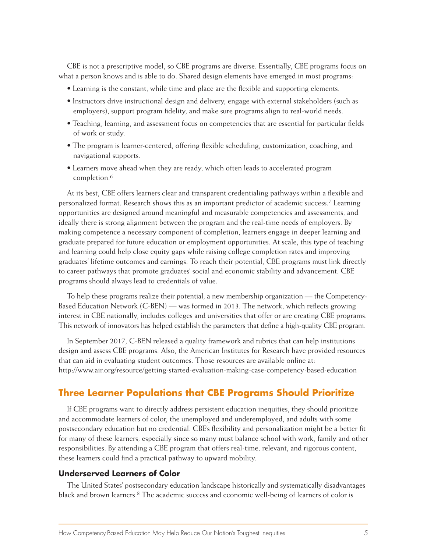CBE is not a prescriptive model, so CBE programs are diverse. Essentially, CBE programs focus on what a person knows and is able to do. Shared design elements have emerged in most programs:

- Learning is the constant, while time and place are the flexible and supporting elements.
- Instructors drive instructional design and delivery, engage with external stakeholders (such as employers), support program fidelity, and make sure programs align to real-world needs.
- Teaching, learning, and assessment focus on competencies that are essential for particular fields of work or study.
- The program is learner-centered, offering flexible scheduling, customization, coaching, and navigational supports.
- Learners move ahead when they are ready, which often leads to accelerated program completion.6

At its best, CBE offers learners clear and transparent credentialing pathways within a flexible and personalized format. Research shows this as an important predictor of academic success.7 Learning opportunities are designed around meaningful and measurable competencies and assessments, and ideally there is strong alignment between the program and the real-time needs of employers. By making competence a necessary component of completion, learners engage in deeper learning and graduate prepared for future education or employment opportunities. At scale, this type of teaching and learning could help close equity gaps while raising college completion rates and improving graduates' lifetime outcomes and earnings. To reach their potential, CBE programs must link directly to career pathways that promote graduates' social and economic stability and advancement. CBE programs should always lead to credentials of value.

To help these programs realize their potential, a new membership organization — the Competency-Based Education Network (C-BEN) — was formed in 2013. The network, which reflects growing interest in CBE nationally, includes colleges and universities that offer or are creating CBE programs. This network of innovators has helped establish the parameters that define a high-quality CBE program.

In September 2017, C-BEN released a quality framework and rubrics that can help institutions design and assess CBE programs. Also, the American Institutes for Research have provided resources that can aid in evaluating student outcomes. Those resources are available online at: http://www.air.org/resource/getting-started-evaluation-making-case-competency-based-education

### **Three Learner Populations that CBE Programs Should Prioritize**

If CBE programs want to directly address persistent education inequities, they should prioritize and accommodate learners of color, the unemployed and underemployed, and adults with some postsecondary education but no credential. CBE's flexibility and personalization might be a better fit for many of these learners, especially since so many must balance school with work, family and other responsibilities. By attending a CBE program that offers real-time, relevant, and rigorous content, these learners could find a practical pathway to upward mobility.

#### **Underserved Learners of Color**

The United States' postsecondary education landscape historically and systematically disadvantages black and brown learners.8 The academic success and economic well-being of learners of color is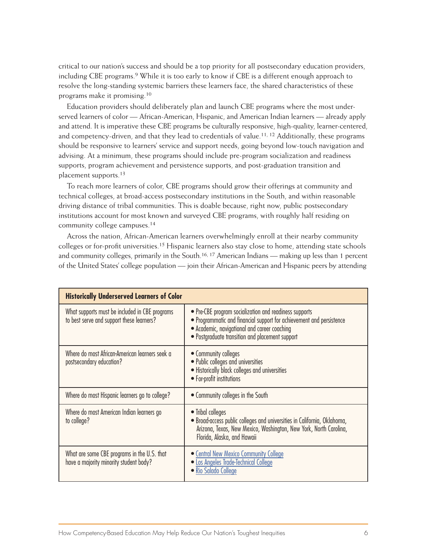critical to our nation's success and should be a top priority for all postsecondary education providers, including CBE programs.9 While it is too early to know if CBE is a different enough approach to resolve the long-standing systemic barriers these learners face, the shared characteristics of these programs make it promising.10

Education providers should deliberately plan and launch CBE programs where the most underserved learners of color — African-American, Hispanic, and American Indian learners — already apply and attend. It is imperative these CBE programs be culturally responsive, high-quality, learner-centered, and competency-driven, and that they lead to credentials of value.<sup>11, 12</sup> Additionally, these programs should be responsive to learners' service and support needs, going beyond low-touch navigation and advising. At a minimum, these programs should include pre-program socialization and readiness supports, program achievement and persistence supports, and post-graduation transition and placement supports.13

To reach more learners of color, CBE programs should grow their offerings at community and technical colleges, at broad-access postsecondary institutions in the South, and within reasonable driving distance of tribal communities. This is doable because, right now, public postsecondary institutions account for most known and surveyed CBE programs, with roughly half residing on community college campuses.14

Across the nation, African-American learners overwhelmingly enroll at their nearby community colleges or for-profit universities.<sup>15</sup> Hispanic learners also stay close to home, attending state schools and community colleges, primarily in the South.16, 17 American Indians — making up less than 1 percent of the United States' college population — join their African-American and Hispanic peers by attending

| <b>Historically Underserved Learners of Color</b>                                           |                                                                                                                                                                                                                                   |
|---------------------------------------------------------------------------------------------|-----------------------------------------------------------------------------------------------------------------------------------------------------------------------------------------------------------------------------------|
| What supports must be included in CBE programs<br>to best serve and support these learners? | • Pre-CBE program socialization and readiness supports<br>• Programmatic and financial support for achievement and persistence<br>• Academic, navigational and career coaching<br>• Postgraduate transition and placement support |
| Where do most African-American learners seek a<br>postsecondary education?                  | • Community colleges<br>• Public colleges and universities<br>• Historically black colleges and universities<br>• For-profit institutions                                                                                         |
| Where do most Hispanic learners go to college?                                              | • Community colleges in the South                                                                                                                                                                                                 |
| Where do most American Indian learners go<br>to college?                                    | • Tribal colleges<br>• Broad-access public colleges and universities in California, Oklahoma,<br>Arizona, Texas, New Mexico, Washington, New York, North Carolina,<br>Florida, Alaska, and Hawaii                                 |
| What are some CBE programs in the U.S. that<br>have a majority minority student body?       | • Central New Mexico Community College<br>• Los Angeles Trade-Technical College<br>• Rio Salado College                                                                                                                           |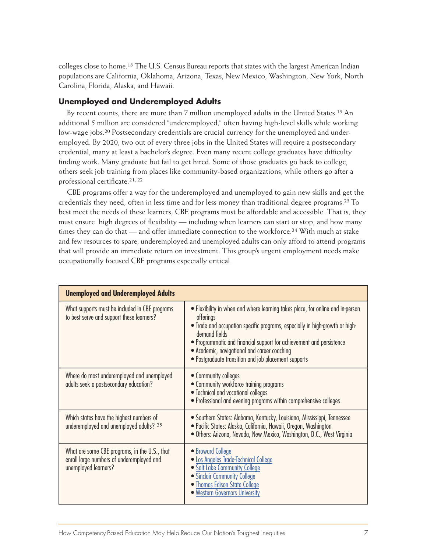colleges close to home.18 The U.S. Census Bureau reports that states with the largest American Indian populations are California, Oklahoma, Arizona, Texas, New Mexico, Washington, New York, North Carolina, Florida, Alaska, and Hawaii.

### **Unemployed and Underemployed Adults**

By recent counts, there are more than 7 million unemployed adults in the United States.19 An additional 5 million are considered "underemployed," often having high-level skills while working low-wage jobs.<sup>20</sup> Postsecondary credentials are crucial currency for the unemployed and underemployed. By 2020, two out of every three jobs in the United States will require a postsecondary credential, many at least a bachelor's degree. Even many recent college graduates have difficulty finding work. Many graduate but fail to get hired. Some of those graduates go back to college, others seek job training from places like community-based organizations, while others go after a professional certificate.21, 22

CBE programs offer a way for the underemployed and unemployed to gain new skills and get the credentials they need, often in less time and for less money than traditional degree programs.23 To best meet the needs of these learners, CBE programs must be affordable and accessible. That is, they must ensure high degrees of flexibility — including when learners can start or stop, and how many times they can do that — and offer immediate connection to the workforce.24 With much at stake and few resources to spare, underemployed and unemployed adults can only afford to attend programs that will provide an immediate return on investment. This group's urgent employment needs make occupationally focused CBE programs especially critical.

| <b>Unemployed and Underemployed Adults</b>                                                                         |                                                                                                                                                                                                                                                                                                                                                                              |
|--------------------------------------------------------------------------------------------------------------------|------------------------------------------------------------------------------------------------------------------------------------------------------------------------------------------------------------------------------------------------------------------------------------------------------------------------------------------------------------------------------|
| What supports must be included in CBE programs<br>to best serve and support these learners?                        | • Flexibility in when and where learning takes place, for online and in-person<br>offerings<br>• Trade and occupation specific programs, especially in high-growth or high-<br>demand fields<br>• Programmatic and financial support for achievement and persistence<br>• Academic, navigational and career coaching<br>• Postgraduate transition and job placement supports |
| Where do most underemployed and unemployed<br>adults seek a postsecondary education?                               | • Community colleges<br>• Community workforce training programs<br>• Technical and vocational colleges<br>• Professional and evening programs within comprehensive colleges                                                                                                                                                                                                  |
| Which states have the highest numbers of<br>underemployed and unemployed adults? 25                                | • Southern States: Alabama, Kentucky, Louisiana, Mississippi, Tennessee<br>· Pacific States: Alaska, California, Hawaii, Oregon, Washington<br>· Others: Arizona, Nevada, New Mexico, Washington, D.C., West Virginia                                                                                                                                                        |
| What are some CBE programs, in the U.S., that<br>enroll large numbers of underemployed and<br>unemployed learners? | • Broward College<br>· Los Angeles Trade-Technical College<br>• Salt Lake Community College<br>• Sinclair Community College<br>• Thomas Edison State College<br>• Western Governors University                                                                                                                                                                               |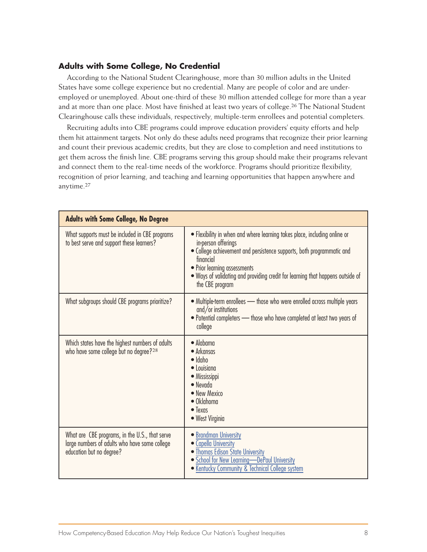#### **Adults with Some College, No Credential**

According to the National Student Clearinghouse, more than 30 million adults in the United States have some college experience but no credential. Many are people of color and are underemployed or unemployed. About one-third of these 30 million attended college for more than a year and at more than one place. Most have finished at least two years of college.<sup>26</sup> The National Student Clearinghouse calls these individuals, respectively, multiple-term enrollees and potential completers.

Recruiting adults into CBE programs could improve education providers' equity efforts and help them hit attainment targets. Not only do these adults need programs that recognize their prior learning and count their previous academic credits, but they are close to completion and need institutions to get them across the finish line. CBE programs serving this group should make their programs relevant and connect them to the real-time needs of the workforce. Programs should prioritize flexibility, recognition of prior learning, and teaching and learning opportunities that happen anywhere and anytime.27

| <b>Adults with Some College, No Degree</b>                                                                                  |                                                                                                                                                                                                                                                                                                                             |
|-----------------------------------------------------------------------------------------------------------------------------|-----------------------------------------------------------------------------------------------------------------------------------------------------------------------------------------------------------------------------------------------------------------------------------------------------------------------------|
| What supports must be included in CBE programs<br>to best serve and support these learners?                                 | • Flexibility in when and where learning takes place, including online or<br>in-person offerings<br>. College achievement and persistence supports, both programmatic and<br>financial<br>• Prior learning assessments<br>• Ways of validating and providing credit for learning that happens outside of<br>the CBE program |
| What subgroups should CBE programs prioritize?                                                                              | • Multiple-term enrollees - those who were enrolled across multiple years<br>$and/or$ institutions<br>. Potential completers - those who have completed at least two years of<br>college                                                                                                                                    |
| Which states have the highest numbers of adults<br>who have some college but no degree? <sup>28</sup>                       | $\bullet$ Alabama<br>• Arkansas<br>$\bullet$ Idaho<br>$\bullet$ Louisiana<br>• Mississippi<br>$\bullet$ Nevada<br>• New Mexico<br>$\bullet$ Oklahoma<br>$\bullet$ Texas<br>• West Virginia                                                                                                                                  |
| What are CBE programs, in the U.S., that serve<br>large numbers of adults who have some college<br>education but no degree? | • Brandman University<br>• Capella University<br>• Thomas Edison State University<br>· School for New Learning-DePaul University<br>• Kentucky Community & Technical College system                                                                                                                                         |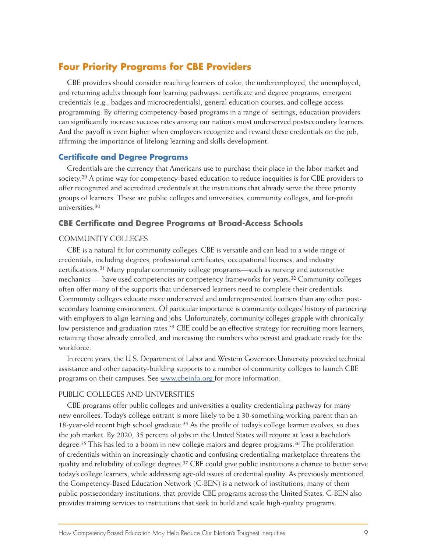### **Four Priority Programs for CBE Providers**

CBE providers should consider reaching learners of color, the underemployed, the unemployed, and returning adults through four learning pathways: certificate and degree programs, emergent credentials (e.g., badges and microcredentials), general education courses, and college access programming. By offering competency-based programs in a range of settings, education providers can significantly increase success rates among our nation's most underserved postsecondary learners. And the payoff is even higher when employers recognize and reward these credentials on the job, affirming the importance of lifelong learning and skills development.

#### **Certificate and Degree Programs**

Credentials are the currency that Americans use to purchase their place in the labor market and society.29 A prime way for competency-based education to reduce inequities is for CBE providers to offer recognized and accredited credentials at the institutions that already serve the three priority groups of learners. These are public colleges and universities, community colleges, and for-profit universities.30

### **CBE Certificate and Degree Programs at Broad-Access Schools**

#### COMMUNITY COLLEGES

CBE is a natural fit for community colleges. CBE is versatile and can lead to a wide range of credentials, including degrees, professional certificates, occupational licenses, and industry certifications.31 Many popular community college programs—such as nursing and automotive mechanics — have used competencies or competency frameworks for years.32 Community colleges often offer many of the supports that underserved learners need to complete their credentials. Community colleges educate more underserved and underrepresented learners than any other postsecondary learning environment. Of particular importance is community colleges' history of partnering with employers to align learning and jobs. Unfortunately, community colleges grapple with chronically low persistence and graduation rates.<sup>33</sup> CBE could be an effective strategy for recruiting more learners, retaining those already enrolled, and increasing the numbers who persist and graduate ready for the workforce.

In recent years, the U.S. Department of Labor and Western Governors University provided technical assistance and other capacity-building supports to a number of community colleges to launch CBE programs on their campuses. See [www.cbeinfo.org](http://www.cbeinfo.org) for more information.

#### PUBLIC COLLEGES AND UNIVERSITIES

CBE programs offer public colleges and universities a quality credentialing pathway for many new enrollees. Today's college entrant is more likely to be a 30-something working parent than an 18-year-old recent high school graduate.34 As the profile of today's college learner evolves, so does the job market. By 2020, 35 percent of jobs in the United States will require at least a bachelor's degree.<sup>35</sup> This has led to a boom in new college majors and degree programs.<sup>36</sup> The proliferation of credentials within an increasingly chaotic and confusing credentialing marketplace threatens the quality and reliability of college degrees.<sup>37</sup> CBE could give public institutions a chance to better serve today's college learners, while addressing age-old issues of credential quality. As previously mentioned, the Competency-Based Education Network (C-BEN) is a network of institutions, many of them public postsecondary institutions, that provide CBE programs across the United States. C-BEN also provides training services to institutions that seek to build and scale high-quality programs.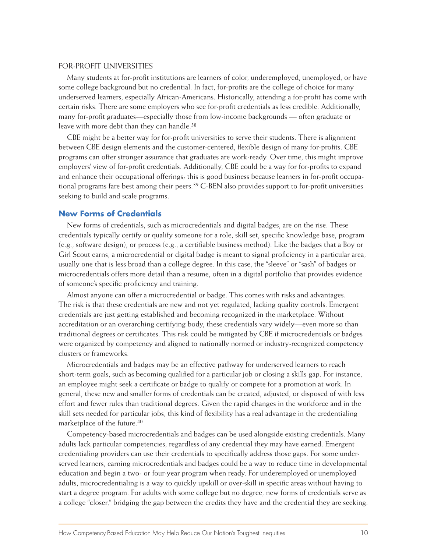#### FOR-PROFIT UNIVERSITIES

Many students at for-profit institutions are learners of color, underemployed, unemployed, or have some college background but no credential. In fact, for-profits are the college of choice for many underserved learners, especially African-Americans. Historically, attending a for-profit has come with certain risks. There are some employers who see for-profit credentials as less credible. Additionally, many for-profit graduates—especially those from low-income backgrounds — often graduate or leave with more debt than they can handle.<sup>38</sup>

CBE might be a better way for for-profit universities to serve their students. There is alignment between CBE design elements and the customer-centered, flexible design of many for-profits. CBE programs can offer stronger assurance that graduates are work-ready. Over time, this might improve employers' view of for-profit credentials. Additionally, CBE could be a way for for-profits to expand and enhance their occupational offerings; this is good business because learners in for-profit occupational programs fare best among their peers.39 C-BEN also provides support to for-profit universities seeking to build and scale programs.

#### **New Forms of Credentials**

New forms of credentials, such as microcredentials and digital badges, are on the rise. These credentials typically certify or qualify someone for a role, skill set, specific knowledge base, program (e.g., software design), or process (e.g., a certifiable business method). Like the badges that a Boy or Girl Scout earns, a microcredential or digital badge is meant to signal proficiency in a particular area, usually one that is less broad than a college degree. In this case, the "sleeve" or "sash" of badges or microcredentials offers more detail than a resume, often in a digital portfolio that provides evidence of someone's specific proficiency and training.

Almost anyone can offer a microcredential or badge. This comes with risks and advantages. The risk is that these credentials are new and not yet regulated, lacking quality controls. Emergent credentials are just getting established and becoming recognized in the marketplace. Without accreditation or an overarching certifying body, these credentials vary widely—even more so than traditional degrees or certificates. This risk could be mitigated by CBE if microcredentials or badges were organized by competency and aligned to nationally normed or industry-recognized competency clusters or frameworks.

Microcredentials and badges may be an effective pathway for underserved learners to reach short-term goals, such as becoming qualified for a particular job or closing a skills gap. For instance, an employee might seek a certificate or badge to qualify or compete for a promotion at work. In general, these new and smaller forms of credentials can be created, adjusted, or disposed of with less effort and fewer rules than traditional degrees. Given the rapid changes in the workforce and in the skill sets needed for particular jobs, this kind of flexibility has a real advantage in the credentialing marketplace of the future.40

Competency-based microcredentials and badges can be used alongside existing credentials. Many adults lack particular competencies, regardless of any credential they may have earned. Emergent credentialing providers can use their credentials to specifically address those gaps. For some underserved learners, earning microcredentials and badges could be a way to reduce time in developmental education and begin a two- or four-year program when ready. For underemployed or unemployed adults, microcredentialing is a way to quickly upskill or over-skill in specific areas without having to start a degree program. For adults with some college but no degree, new forms of credentials serve as a college "closer," bridging the gap between the credits they have and the credential they are seeking.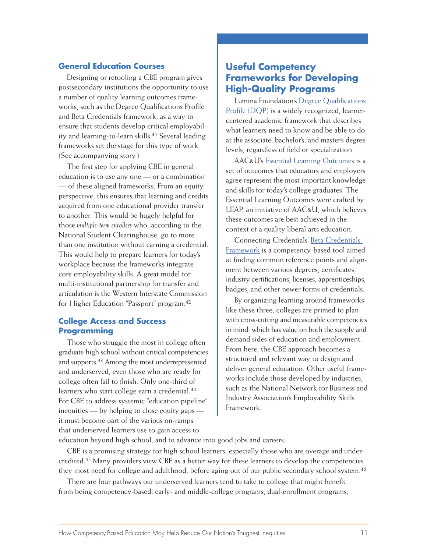### **General Education Courses**

Designing or retooling a CBE program gives postsecondary institutions the opportunity to use a number of quality learning outcomes frameworks, such as the Degree Qualifications Profile and Beta Credentials framework, as a way to ensure that students develop critical employability and learning-to-learn skills.41 Several leading frameworks set the stage for this type of work. (See accompanying story.)

The first step for applying CBE in general education is to use any one — or a combination — of these aligned frameworks. From an equity perspective, this ensures that learning and credits acquired from one educational provider transfer to another. This would be hugely helpful for those *multiple-term enrollees* who, according to the National Student Clearinghouse, go to more than one institution without earning a credential. This would help to prepare learners for today's workplace because the frameworks integrate core employability skills. A great model for multi-institutional partnership for transfer and articulation is the Western Interstate Commission for Higher Education "Passport" program.42

### **College Access and Success Programming**

Those who struggle the most in college often graduate high school without critical competencies and supports.43 Among the most underrepresented and underserved, even those who are ready for college often fail to finish. Only one-third of learners who start college earn a credential.<sup>44</sup> For CBE to address systemic "education pipeline" inequities — by helping to close equity gaps it must become part of the various on-ramps that underserved learners use to gain access to

## **Useful Competency Frameworks for Developing High-Quality Programs**

Lumina Foundation's [Degree Qualifications](http://degreeprofile.org)  [Profile \(DQP\)](http://degreeprofile.org) is a widely recognized, learnercentered academic framework that describes what learners need to know and be able to do at the associate, bachelor's, and master's degree levels, regardless of field or specialization.

AAC&U's [Essential Learning Outcomes](https://www.aacu.org/sites/default/files/files/LEAP/EssentialOutcomes_Chart.pdf) is a set of outcomes that educators and employers agree represent the most important knowledge and skills for today's college graduates. The Essential Learning Outcomes were crafted by LEAP, an initiative of AAC&U, which believes these outcomes are best achieved in the context of a quality liberal arts education.

Connecting Credentials' [Beta Credentials](http://connectingcredentials.org/wp-content/uploads/2015/05/ConnectingCredentials-4-29-30.pdf)  [Framework](http://connectingcredentials.org/wp-content/uploads/2015/05/ConnectingCredentials-4-29-30.pdf) is a competency-based tool aimed at finding common reference points and alignment between various degrees, certificates, industry certifications, licenses, apprenticeships, badges, and other newer forms of credentials.

By organizing learning around frameworks like these three, colleges are primed to plan with cross-cutting and measurable competencies in mind, which has value on both the supply and demand sides of education and employment. From here, the CBE approach becomes a structured and relevant way to design and deliver general education. Other useful frameworks include those developed by industries, such as the National Network for Business and Industry Association's Employability Skills Framework.

education beyond high school, and to advance into good jobs and careers.

CBE is a promising strategy for high school learners, especially those who are overage and undercredited.45 Many providers view CBE as a better way for these learners to develop the competencies they most need for college and adulthood, before aging out of our public secondary school system.<sup>46</sup>

There are four pathways our underserved learners tend to take to college that might benefit from being competency-based: early- and middle-college programs, dual-enrollment programs,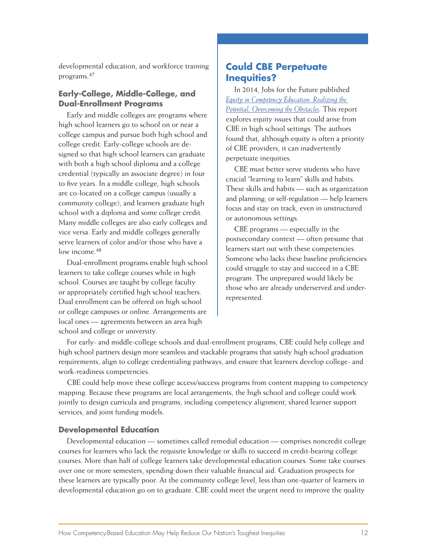developmental education, and workforce training programs.47

### **Early-College, Middle-College, and Dual-Enrollment Programs**

Early and middle colleges are programs where high school learners go to school on or near a college campus and pursue both high school and college credit. Early-college schools are designed so that high school learners can graduate with both a high school diploma and a college credential (typically an associate degree) in four to five years. In a middle college, high schools are co-located on a college campus (usually a community college), and learners graduate high school with a diploma and some college credit. Many middle colleges are also early colleges and vice versa. Early and middle colleges generally serve learners of color and/or those who have a low income.<sup>48</sup>

Dual-enrollment programs enable high school learners to take college courses while in high school. Courses are taught by college faculty or appropriately certified high school teachers. Dual enrollment can be offered on high school or college campuses or online. Arrangements are local ones — agreements between an area high school and college or university.

### **Could CBE Perpetuate Inequities?**

In 2014, Jobs for the Future published *[Equity in Competency Education: Realizing the](http://www.jff.org/sites/default/files/publications/materials/Equity-in-Competency-Education-103014.pdf)  [Potential, Overcoming the Obstacles.](http://www.jff.org/sites/default/files/publications/materials/Equity-in-Competency-Education-103014.pdf)* This report explores equity issues that could arise from CBE in high school settings. The authors found that, although equity is often a priority of CBE providers, it can inadvertently perpetuate inequities.

CBE must better serve students who have crucial "learning to learn" skills and habits. These skills and habits — such as organization and planning, or self-regulation — help learners focus and stay on track, even in unstructured or autonomous settings.

CBE programs — especially in the postsecondary context — often presume that learners start out with these competencies. Someone who lacks these baseline proficiencies could struggle to stay and succeed in a CBE program. The unprepared would likely be those who are already underserved and underrepresented.

For early- and middle-college schools and dual-enrollment programs, CBE could help college and high school partners design more seamless and stackable programs that satisfy high school graduation requirements, align to college credentialing pathways, and ensure that learners develop college- and work-readiness competencies.

CBE could help move these college access/success programs from content mapping to competency mapping. Because these programs are local arrangements, the high school and college could work jointly to design curricula and programs, including competency alignment, shared learner support services, and joint funding models.

### **Developmental Education**

Developmental education — sometimes called remedial education — comprises noncredit college courses for learners who lack the requisite knowledge or skills to succeed in credit-bearing college courses. More than half of college learners take developmental education courses. Some take courses over one or more semesters, spending down their valuable financial aid. Graduation prospects for these learners are typically poor. At the community college level, less than one-quarter of learners in developmental education go on to graduate. CBE could meet the urgent need to improve the quality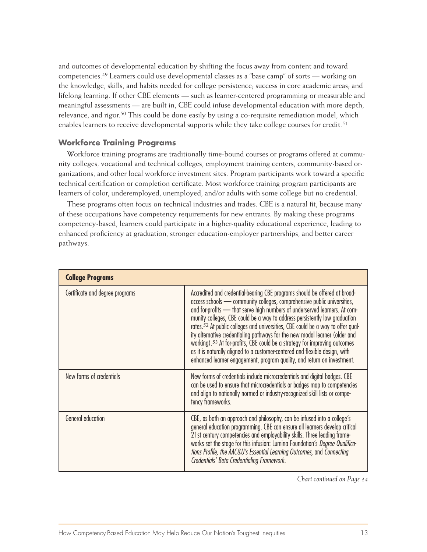and outcomes of developmental education by shifting the focus away from content and toward competencies.49 Learners could use developmental classes as a "base camp" of sorts — working on the knowledge, skills, and habits needed for college persistence; success in core academic areas; and lifelong learning. If other CBE elements — such as learner-centered programming or measurable and meaningful assessments — are built in, CBE could infuse developmental education with more depth, relevance, and rigor.<sup>50</sup> This could be done easily by using a co-requisite remediation model, which enables learners to receive developmental supports while they take college courses for credit.<sup>51</sup>

#### **Workforce Training Programs**

Workforce training programs are traditionally time-bound courses or programs offered at community colleges, vocational and technical colleges, employment training centers, community-based organizations, and other local workforce investment sites. Program participants work toward a specific technical certification or completion certificate. Most workforce training program participants are learners of color, underemployed, unemployed, and/or adults with some college but no credential.

These programs often focus on technical industries and trades. CBE is a natural fit, because many of these occupations have competency requirements for new entrants. By making these programs competency-based, learners could participate in a higher-quality educational experience, leading to enhanced proficiency at graduation, stronger education-employer partnerships, and better career pathways.

| <b>College Programs</b>         |                                                                                                                                                                                                                                                                                                                                                                                                                                                                                                                                                                                                                                                                                                                                                     |
|---------------------------------|-----------------------------------------------------------------------------------------------------------------------------------------------------------------------------------------------------------------------------------------------------------------------------------------------------------------------------------------------------------------------------------------------------------------------------------------------------------------------------------------------------------------------------------------------------------------------------------------------------------------------------------------------------------------------------------------------------------------------------------------------------|
| Certificate and degree programs | Accredited and credential-bearing CBE programs should be offered at broad-<br>access schools - community colleges, comprehensive public universities,<br>and for-profits - that serve high numbers of underserved learners. At com-<br>munity colleges, CBE could be a way to address persistently low graduation<br>rates. <sup>52</sup> At public colleges and universities, CBE could be a way to offer qual-<br>ity alternative credentialing pathways for the new modal learner (older and<br>working). <sup>53</sup> At for-profits, CBE could be a strategy for improving outcomes<br>as it is naturally aligned to a customer-centered and flexible design, with<br>enhanced learner engagement, program quality, and return on investment. |
| New forms of credentials        | New forms of credentials include microcredentials and digital badges. CBE<br>can be used to ensure that microcredentials or badges map to competencies<br>and align to nationally normed or industry-recognized skill lists or compe-<br>tency frameworks.                                                                                                                                                                                                                                                                                                                                                                                                                                                                                          |
| General education               | CBE, as both an approach and philosophy, can be infused into a college's<br>general education programming. CBE can ensure all learners develop critical<br>21st century competencies and employability skills. Three leading frame-<br>works set the stage for this infusion: Lumina Foundation's Degree Qualifica-<br>tions Profile, the AAC&U's Essential Learning Outcomes, and Connecting<br>Credentials' Beta Credentialing Framework.                                                                                                                                                                                                                                                                                                         |

*Chart continued on Page 14*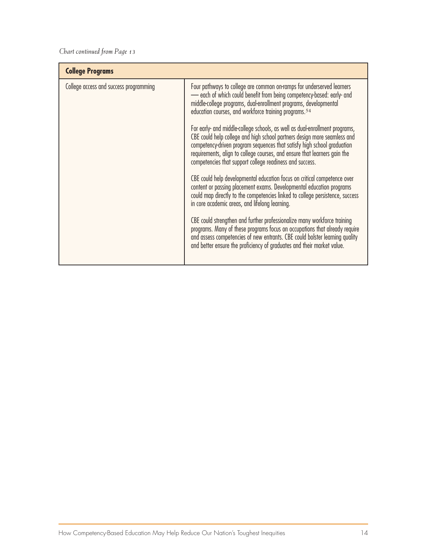| <b>College Programs</b>                |                                                                                                                                                                                                                                                                                                                                                                                                                                                                                                                                                                                                                                                                                                                                                                                                                                                                                                                                                                                                                                                                                                                                                                                                                                                                                  |
|----------------------------------------|----------------------------------------------------------------------------------------------------------------------------------------------------------------------------------------------------------------------------------------------------------------------------------------------------------------------------------------------------------------------------------------------------------------------------------------------------------------------------------------------------------------------------------------------------------------------------------------------------------------------------------------------------------------------------------------------------------------------------------------------------------------------------------------------------------------------------------------------------------------------------------------------------------------------------------------------------------------------------------------------------------------------------------------------------------------------------------------------------------------------------------------------------------------------------------------------------------------------------------------------------------------------------------|
| College access and success programming | Four pathways to college are common on-ramps for underserved learners<br>- each of which could benefit from being competency-based: early- and<br>middle-college programs, dual-enrollment programs, developmental<br>education courses, and workforce training programs. <sup>54</sup><br>For early- and middle-college schools, as well as dual-enrollment programs,<br>CBE could help college and high school partners design more seamless and<br>competency-driven program sequences that satisfy high school graduation<br>requirements, align to college courses, and ensure that learners gain the<br>competencies that support college readiness and success.<br>CBE could help developmental education focus on critical competence over<br>content or passing placement exams. Developmental education programs<br>could map directly to the competencies linked to college persistence, success<br>in core academic areas, and lifelong learning.<br>CBE could strengthen and further professionalize many workforce training<br>programs. Many of these programs focus on occupations that already require<br>and assess competencies of new entrants. CBE could bolster learning quality<br>and better ensure the proficiency of graduates and their market value. |
|                                        |                                                                                                                                                                                                                                                                                                                                                                                                                                                                                                                                                                                                                                                                                                                                                                                                                                                                                                                                                                                                                                                                                                                                                                                                                                                                                  |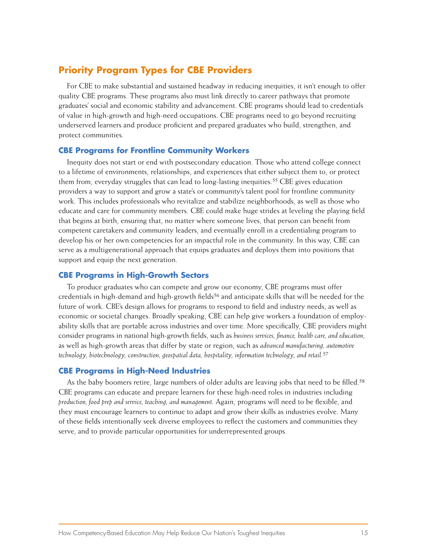## **Priority Program Types for CBE Providers**

For CBE to make substantial and sustained headway in reducing inequities, it isn't enough to offer quality CBE programs. These programs also must link directly to career pathways that promote graduates' social and economic stability and advancement. CBE programs should lead to credentials of value in high-growth and high-need occupations. CBE programs need to go beyond recruiting underserved learners and produce proficient and prepared graduates who build, strengthen, and protect communities.

#### **CBE Programs for Frontline Community Workers**

Inequity does not start or end with postsecondary education. Those who attend college connect to a lifetime of environments, relationships, and experiences that either subject them to, or protect them from, everyday struggles that can lead to long-lasting inequities.55 CBE gives education providers a way to support and grow a state's or community's talent pool for frontline community work. This includes professionals who revitalize and stabilize neighborhoods, as well as those who educate and care for community members. CBE could make huge strides at leveling the playing field that begins at birth, ensuring that, no matter where someone lives, that person can benefit from competent caretakers and community leaders, and eventually enroll in a credentialing program to develop his or her own competencies for an impactful role in the community. In this way, CBE can serve as a multigenerational approach that equips graduates and deploys them into positions that support and equip the next generation.

#### **CBE Programs in High-Growth Sectors**

To produce graduates who can compete and grow our economy, CBE programs must offer credentials in high-demand and high-growth fields<sup>56</sup> and anticipate skills that will be needed for the future of work. CBE's design allows for programs to respond to field and industry needs, as well as economic or societal changes. Broadly speaking, CBE can help give workers a foundation of employability skills that are portable across industries and over time. More specifically, CBE providers might consider programs in national high-growth fields, such as *business services, finance, health care, and education,* as well as high-growth areas that differ by state or region, such as *advanced manufacturing, automotive technology, biotechnology, construction, geospatial data, hospitality, information technology, and retail.*<sup>57</sup>

#### **CBE Programs in High-Need Industries**

As the baby boomers retire, large numbers of older adults are leaving jobs that need to be filled.<sup>58</sup> CBE programs can educate and prepare learners for these high-need roles in industries including *production, food prep and service, teaching, and management.* Again, programs will need to be flexible, and they must encourage learners to continue to adapt and grow their skills as industries evolve. Many of these fields intentionally seek diverse employees to reflect the customers and communities they serve, and to provide particular opportunities for underrepresented groups.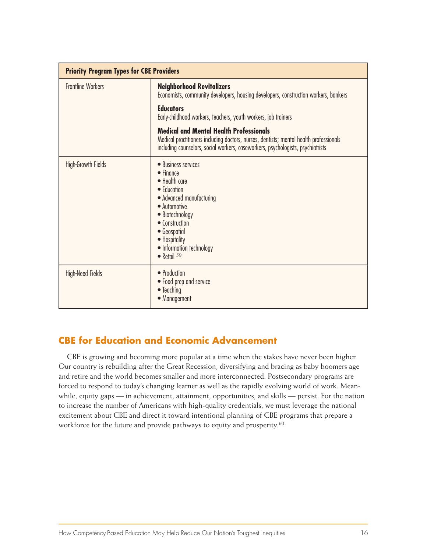| <b>Priority Program Types for CBE Providers</b> |                                                                                                                                                                                                                                                    |  |
|-------------------------------------------------|----------------------------------------------------------------------------------------------------------------------------------------------------------------------------------------------------------------------------------------------------|--|
| <b>Frontline Workers</b>                        | <b>Neighborhood Revitalizers</b><br>Economists, community developers, housing developers, construction workers, bankers                                                                                                                            |  |
|                                                 | <b>Educators</b><br>Early-childhood workers, teachers, youth workers, job trainers                                                                                                                                                                 |  |
|                                                 | <b>Medical and Mental Health Professionals</b><br>Medical practitioners including doctors, nurses, dentists; mental health professionals<br>including counselors, social workers, caseworkers, psychologists, psychiatrists                        |  |
| <b>High-Growth Fields</b>                       | • Business services<br>$\bullet$ Finance<br>• Health care<br>• Education<br>• Advanced manufacturing<br>• Automotive<br>• Biotechnology<br>• Construction<br>• Geospatial<br>• Hospitality<br>• Information technology<br>$\bullet$ Retail $^{59}$ |  |
| <b>High-Need Fields</b>                         | • Production<br>• Food prep and service<br>$\bullet$ Teaching<br>• Management                                                                                                                                                                      |  |

## **CBE for Education and Economic Advancement**

CBE is growing and becoming more popular at a time when the stakes have never been higher. Our country is rebuilding after the Great Recession, diversifying and bracing as baby boomers age and retire and the world becomes smaller and more interconnected. Postsecondary programs are forced to respond to today's changing learner as well as the rapidly evolving world of work. Meanwhile, equity gaps — in achievement, attainment, opportunities, and skills — persist. For the nation to increase the number of Americans with high-quality credentials, we must leverage the national excitement about CBE and direct it toward intentional planning of CBE programs that prepare a workforce for the future and provide pathways to equity and prosperity.<sup>60</sup>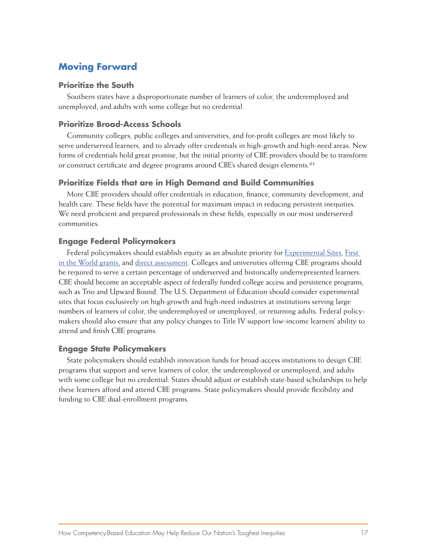## **Moving Forward**

#### **Prioritize the South**

Southern states have a disproportionate number of learners of color, the underemployed and unemployed, and adults with some college but no credential.

### **Prioritize Broad-Access Schools**

Community colleges, public colleges and universities, and for-profit colleges are most likely to serve underserved learners, and to already offer credentials in high-growth and high-need areas. New forms of credentials hold great promise, but the initial priority of CBE providers should be to transform or construct certificate and degree programs around CBE's shared design elements.<sup>61</sup>

#### **Prioritize Fields that are in High Demand and Build Communities**

More CBE providers should offer credentials in education, finance, community development, and health care. These fields have the potential for maximum impact in reducing persistent inequities. We need proficient and prepared professionals in these fields, especially in our most underserved communities.

#### **Engage Federal Policymakers**

Federal policymakers should establish equity as an absolute priority for [Experimental Sites,](https://experimentalsites.ed.gov/exp/index.html) First [in the World grants,](https://www.ed.gov/category/keyword/first-world-fitw-program) and [direct assessment](https://ifap.ed.gov/dpcletters/GEN1310.html). Colleges and universities offering CBE programs should be required to serve a certain percentage of underserved and historically underrepresented learners. CBE should become an acceptable aspect of federally funded college access and persistence programs, such as Trio and Upward Bound. The U.S. Department of Education should consider experimental sites that focus exclusively on high-growth and high-need industries at institutions serving large numbers of learners of color, the underemployed or unemployed, or returning adults. Federal policymakers should also ensure that any policy changes to Title IV support low-income learners' ability to attend and finish CBE programs.

### **Engage State Policymakers**

State policymakers should establish innovation funds for broad-access institutions to design CBE programs that support and serve learners of color, the underemployed or unemployed, and adults with some college but no credential. States should adjust or establish state-based scholarships to help these learners afford and attend CBE programs. State policymakers should provide flexibility and funding to CBE dual-enrollment programs.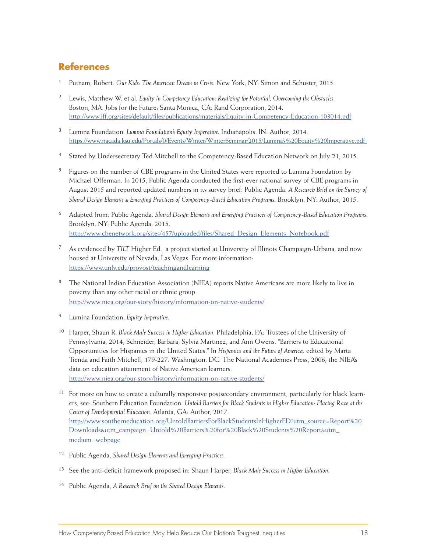## **References**

- <sup>1</sup> Putnam, Robert. *Our Kids: The American Dream in Crisis.* New York, NY: Simon and Schuster, 2015.
- <sup>2</sup> Lewis, Matthew W. et al. *Equity in Competency Education: Realizing the Potential, Overcoming the Obstacles.* Boston, MA: Jobs for the Future; Santa Monica, CA: Rand Corporation, 2014. http://www.jff.org/sites/default/files/publications/materials/Equity-in-Competency-Education-103014.pdf
- <sup>3</sup> Lumina Foundation. *Lumina Foundation's Equity Imperative.* Indianapolis, IN: Author, 2014. https://www.nacada.ksu.edu/Portals/0/Events/Winter/WinterSeminar/2015/Lumina's%20Equity%20Imperative.pdf
- 4 Stated by Undersecretary Ted Mitchell to the Competency-Based Education Network on July 21, 2015.
- $5$  Figures on the number of CBE programs in the United States were reported to Lumina Foundation by Michael Offerman. In 2015, Public Agenda conducted the first-ever national survey of CBE programs in August 2015 and reported updated numbers in its survey brief: Public Agenda. *A Research Brief on the Survey of Shared Design Elements & Emerging Practices of Competency-Based Education Programs.* Brooklyn, NY: Author, 2015.
- <sup>6</sup> Adapted from: Public Agenda. *Shared Design Elements and Emerging Practices of Competency-Based Education Programs.* Brooklyn, NY: Public Agenda, 2015. http://www.cbenetwork.org/sites/457/uploaded/files/Shared\_Design\_Elements\_Notebook.pdf
- <sup>7</sup> As evidenced by *TILT* Higher Ed., a project started at University of Illinois Champaign-Urbana, and now housed at University of Nevada, Las Vegas. For more information: https://www.unlv.edu/provost/teachingandlearning
- 8 The National Indian Education Association (NIEA) reports Native Americans are more likely to live in poverty than any other racial or ethnic group. http://www.niea.org/our-story/history/information-on-native-students/
- <sup>9</sup> Lumina Foundation, *Equity Imperative.*
- <sup>10</sup> Harper, Shaun R. *Black Male Success in Higher Education.* Philadelphia, PA: Trustees of the University of Pennsylvania, 2014; Schneider, Barbara, Sylvia Martinez, and Ann Owens. "Barriers to Educational Opportunities for Hispanics in the United States." In *Hispanics and the Future of America,* edited by Marta Tienda and Faith Mitchell, 179-227. Washington, DC: The National Academies Press, 2006; the NIEA's data on education attainment of Native American learners. http://www.niea.org/our-story/history/information-on-native-students/
- $11$  For more on how to create a culturally responsive postsecondary environment, particularly for black learners, see: Southern Education Foundation. *Untold Barriers for Black Students in Higher Education: Placing Race at the Center of Developmental Education.* Atlanta, GA: Author, 2017. http://www.southerneducation.org/UntoldBarriersForBlackStudentsInHigherED?utm\_source=Report%20 Downloads&utm\_campaign=Untold%20Barriers%20for%20Black%20Students%20Report&utm\_ medium=webpage
- <sup>12</sup> Public Agenda, *Shared Design Elements and Emerging Practices.*
- <sup>13</sup> See the anti-deficit framework proposed in: Shaun Harper, *Black Male Success in Higher Education.*
- <sup>14</sup> Public Agenda, *A Research Brief on the Shared Design Elements.*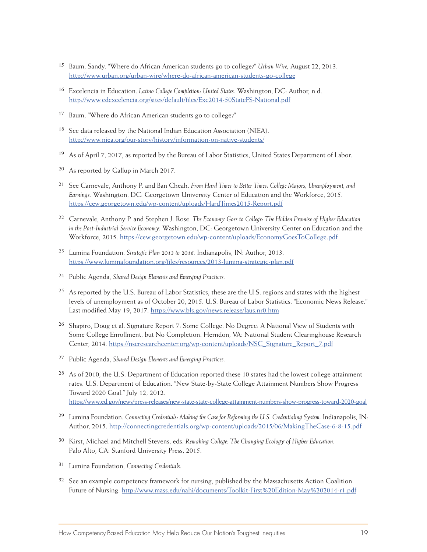- <sup>15</sup> Baum, Sandy. "Where do African American students go to college?" *Urban Wire,* August 22, 2013. http://www.urban.org/urban-wire/where-do-african-american-students-go-college
- <sup>16</sup> Excelencia in Education. *Latino College Completion: United States.* Washington, DC: Author, n.d. http://www.edexcelencia.org/sites/default/files/Exc2014-50StateFS-National.pdf
- <sup>17</sup> Baum, "Where do African American students go to college?"
- 18 See data released by the National Indian Education Association (NIEA). http://www.niea.org/our-story/history/information-on-native-students/
- 19 As of April 7, 2017, as reported by the Bureau of Labor Statistics, United States Department of Labor.
- 20 As reported by Gallup in March 2017.
- <sup>21</sup> See Carnevale, Anthony P. and Ban Cheah. *From Hard Times to Better Times: College Majors, Unemployment, and Earnings.* Washington, DC: Georgetown University Center of Education and the Workforce, 2015. https://cew.georgetown.edu/wp-content/uploads/HardTimes2015-Report.pdf
- <sup>22</sup> Carnevale, Anthony P. and Stephen J. Rose. *The Economy Goes to College: The Hidden Promise of Higher Education in the Post-Industrial Service Economy.* Washington, DC: Georgetown University Center on Education and the Workforce, 2015. https://cew.georgetown.edu/wp-content/uploads/EconomyGoesToCollege.pdf
- <sup>23</sup> Lumina Foundation. *Strategic Plan 2013 to 2016.* Indianapolis, IN: Author, 2013. https://www.luminafoundation.org/files/resources/2013-lumina-strategic-plan.pdf
- <sup>24</sup> Public Agenda, *Shared Design Elements and Emerging Practices.*
- <sup>25</sup> As reported by the U.S. Bureau of Labor Statistics, these are the U.S. regions and states with the highest levels of unemployment as of October 20, 2015. U.S. Bureau of Labor Statistics. "Economic News Release." Last modified May 19, 2017. https://www.bls.gov/news.release/laus.nr0.htm
- 26 Shapiro, Doug et al. Signature Report 7: Some College, No Degree: A National View of Students with Some College Enrollment, but No Completion. Herndon, VA: National Student Clearinghouse Research Center, 2014. https://nscresearchcenter.org/wp-content/uploads/NSC\_Signature\_Report\_7.pdf
- <sup>27</sup> Public Agenda, *Shared Design Elements and Emerging Practices.*
- <sup>28</sup> As of 2010, the U.S. Department of Education reported these 10 states had the lowest college attainment rates. U.S. Department of Education. "New State-by-State College Attainment Numbers Show Progress Toward 2020 Goal." July 12, 2012. https://www.ed.gov/news/press-releases/new-state-state-college-attainment-numbers-show-progress-toward-2020-goal
- <sup>29</sup> Lumina Foundation. *Connecting Credentials: Making the Case for Reforming the U.S. Credentialing System.* Indianapolis, IN: Author, 2015. http://connectingcredentials.org/wp-content/uploads/2015/06/MakingTheCase-6-8-15.pdf
- <sup>30</sup> Kirst, Michael and Mitchell Stevens, eds. *Remaking College: The Changing Ecology of Higher Education.*  Palo Alto, CA: Stanford University Press, 2015.
- <sup>31</sup> Lumina Foundation, *Connecting Credentials.*
- <sup>32</sup> See an example competency framework for nursing, published by the Massachusetts Action Coalition Future of Nursing. http://www.mass.edu/nahi/documents/Toolkit-First%20Edition-May%202014-r1.pdf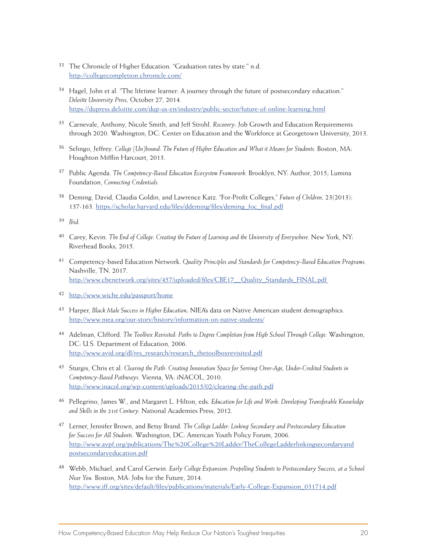- <sup>33</sup> The Chronicle of Higher Education. "Graduation rates by state." n.d. http://collegecompletion.chronicle.com/
- 34 Hagel, John et al. "The lifetime learner: A journey through the future of postsecondary education." *Deloitte University Press,* October 27, 2014. https://dupress.deloitte.com/dup-us-en/industry/public-sector/future-of-online-learning.html
- <sup>35</sup> Carnevale, Anthony, Nicole Smith, and Jeff Strohl. *Recovery:* Job Growth and Education Requirements through 2020. Washington, DC: Center on Education and the Workforce at Georgetown University, 2013.
- <sup>36</sup> Selingo, Jeffrey. *College (Un)bound: The Future of Higher Education and What it Means for Students. Boston, MA:* Houghton Mifflin Harcourt, 2013.
- <sup>37</sup> Public Agenda. *The Competency-Based Education Ecosystem Framework.* Brooklyn, NY: Author, 2015; Lumina Foundation, *Connecting Credentials.*
- <sup>38</sup> Deming, David, Claudia Goldin, and Lawrence Katz. "For-Profit Colleges," *Future of Children,* 23(2013): 137-163. https://scholar.harvard.edu/files/ddeming/files/deming\_foc\_final.pdf
- <sup>39</sup> *Ibid.*
- <sup>40</sup> Carey, Kevin. *The End of College: Creating the Future of Learning and the University of Everywhere.* New York, NY: Riverhead Books, 2015.
- <sup>41</sup> Competency-based Education Network. *Quality Principles and Standards for Competency-Based Education Programs.* Nashville, TN. 2017. http://www.cbenetwork.org/sites/457/uploaded/files/CBE17\_\_Quality\_Standards\_FINAL.pdf
- 42 http://www.wiche.edu/passport/home
- <sup>43</sup> Harper, *Black Male Success in Higher Education;* NIEA's data on Native American student demographics. http://www.niea.org/our-story/history/information-on-native-students/
- <sup>44</sup> Adelman, Clifford. *The Toolbox Revisited: Paths to Degree Completion from High School Through College.* Washington, DC: U.S. Department of Education, 2006. http://www.avid.org/dl/res\_research/research\_thetoolboxrevisited.pdf
- <sup>45</sup> Sturgis, Chris et al. *Clearing the Path: Creating Innovation Space for Serving Over-Age, Under-Credited Students in Competency-Based Pathways.* Vienna, VA: iNACOL, 2010. http://www.inacol.org/wp-content/uploads/2015/02/clearing-the-path.pdf
- <sup>46</sup> Pellegrino, James W., and Margaret L. Hilton, eds. *Education for Life and Work: Developing Transferable Knowledge and Skills in the 21st Century.* National Academies Press, 2012.
- <sup>47</sup> Lerner, Jennifer Brown, and Betsy Brand. *The College Ladder: Linking Secondary and Postsecondary Education for Success for All Students.* Washington, DC: American Youth Policy Forum, 2006. http://www.aypf.org/publications/The%20College%20Ladder/TheCollegeLadderlinkingsecondaryand postsecondaryeducation.pdf
- <sup>48</sup> Webb, Michael, and Carol Gerwin. *Early College Expansion: Propelling Students to Postsecondary Success, at a School Near You.* Boston, MA: Jobs for the Future, 2014. http://www.jff.org/sites/default/files/publications/materials/Early-College-Expansion\_031714.pdf